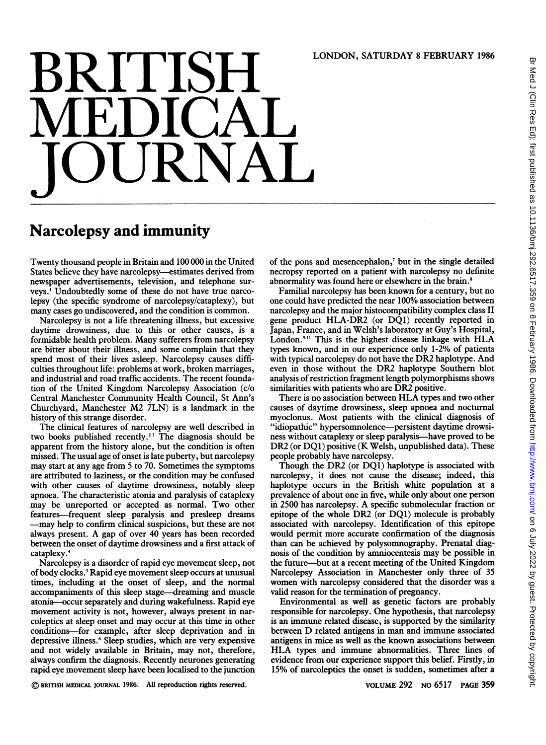## LONDON, SATURDAY <sup>8</sup> FEBRUARY <sup>1986</sup>

## **MEDICAL** JOURNAL

## Narcolepsy and immunity

Twenty thousand people in Britain and 100 000 in the United States believe they have narcolepsy-estimates derived from newspaper advertisements, television, and telephone surveys.' Undoubtedly some of these do not have true narcolepsy (the specific syndrome of narcolepsy/cataplexy), but many cases go undiscovered, and the condition is common.

Narcolepsy is not a life threatening illness, but excessive daytime drowsiness, due to this or other causes, is a formidable health problem. Many sufferers from narcolepsy are bitter about their illness, and some complain that they spend most of their lives asleep. Narcolepsy causes difficulties throughout life: problems at work, broken marriages, and industrial and road traffic accidents. The recent foundation of the United Kingdom Narcolepsy Association (c/o Central Manchester Community Health Council, St Ann's Churchyard, Manchester M2 7LN) is <sup>a</sup> landmark in the history of this strange disorder.

The clinical features of narcolepsy are well described in two books published recently.<sup>23</sup> The diagnosis should be apparent from the history alone, but the condition is often missed. The usual age of onset is late puberty, but narcolepsy may start at any age from <sup>5</sup> to 70. Sometimes the symptoms are attributed to laziness, or the condition may be confused with other causes of daytime drowsiness, notably sleep apnoea. The characteristic atonia and paralysis of cataplexy may be unreported or accepted as normal. Two other features-frequent sleep paralysis and presleep dreams -may help to confirm clinical suspicions, but these are not always present. A gap of over <sup>40</sup> years has been recorded between the onset of daytime drowsiness and a first attack of cataplexy.4

Narcolepsy is a disorder of rapid eye movement sleep, not of body clocks.5 Rapid eye movement sleep occurs at unusual times, including at the onset of sleep, and the normal accompaniments of this sleep stage-dreaming and muscle atonia-occur separately and during wakefulness. Rapid eye movement activity is not, however, always present in narcoleptics at sleep onset and may occur at this time in other conditions-for example, after sleep deprivation and in depressive illness.<sup>6</sup> Sleep studies, which are very expensive and not widely available in Britain, may not, therefore, always confirm the diagnosis. Recently neurones generating rapid eye movement sleep have been localised to the junction

of the pons and mesencephalon,' but in the single detailed necropsy reported on a patient with narcolepsy no definite abnormality was found here or elsewhere in the brain.<sup>8</sup>

Familial narcolepsy has been known for a century, but no one could have predicted the near 100% association between narcolepsy and the major histocompatibility complex class II gene product HLA-DR2 (or DQl) recently reported in Japan, France, and in Welsh's laboratory at Guy's Hospital, London.<sup>9-11</sup> This is the highest disease linkage with HLA types known, and in our experience only 1-2% of patients with typical narcolepsy do not have the DR2 haplotype. And even in those without the DR2 haplotype Southern blot analysis of restriction fragment length polymorphisms shows similarities with patients who are DR2 positive.

There is no association between HLA types and two other causes of daytime drowsiness, sleep apnoea and nocturnal myoclonus. Most patients with the clinical diagnosis of "idiopathic" hypersomnolence—persistent daytime drowsiness without cataplexy or sleep paralysis-have proved to be DR2 (or DQ1) positive (K Welsh, unpublished data). These people probably have narcolepsy.

Though the DR2 (or DQl) haplotype is associated with narcolepsy, it does not cause the disease; indeed, this haplotype occurs in the British white population at a prevalence of about one in five, while only about one person in 2500 has narcolepsy. A specific submolecular fraction or epitope of the whole DR2 (or DQ1) molecule is probably associated with narcolepsy. Identification of this epitope would permit more accurate confirmation of the diagnosis than can be achieved by polysomnography. Prenatal diagnosis of the condition by amniocentesis may be possible in the future-but at a recent meeting of the United Kingdom Narcolepsy Association in Manchester only three of 35 women with narcolepsy considered that the disorder was <sup>a</sup> valid reason for the termination of pregnancy.

Environmental as well as genetic factors are probably responsible for narcolepsy. One hypothesis, that narcolepsy is an immune related disease, is supported by the similarity between D related antigens in man and immune associated antigens in mice as well as the known associations between HLA types and immune abnormalities. Three lines of evidence from our experience support this belief. Firstly, in 15% of narcoleptics the onset is sudden, sometimes after a

© BRITISH MEDICAL JOURNAL 1986. All reproduction rights reserved.